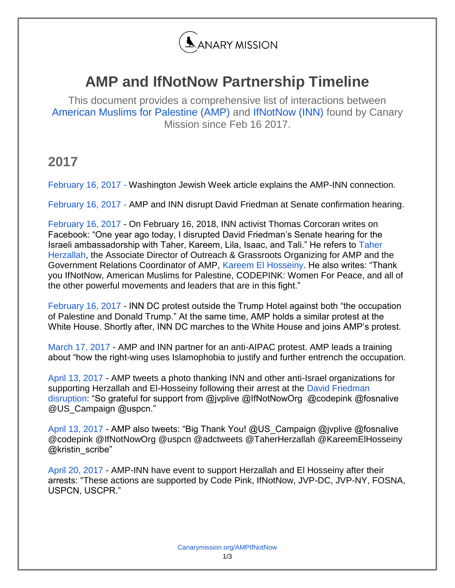

## **AMP and IfNotNow Partnership Timeline**

This document provides a comprehensive list of interactions between [American Muslims for Palestine \(AMP\)](https://canarymission.org/organization/American%20Muslims%20for%20Palestine) and [IfNotNow \(INN\)](https://canarymission.org/organization/IfNotNow) found by Canary Mission since Feb 16 2017.

## **2017**

[February 16, 2017 -](http://washingtonjewishweek.com/36590/left-wing-groups-ramp-up-protests-of-trumps-israel-policies/news/) Washington Jewish Week article explains the AMP-INN connection.

[February 16, 2017 -](https://youtu.be/a3a5WMjG2X8?t=1) AMP and INN disrupt David Friedman at Senate confirmation hearing.

[February 16, 2017](https://www.facebook.com/photo.php?fbid=10212612454240902&set=a.2425496191390.2119503.1071060223&type=3&permPage=1) - On February 16, 2018, INN activist Thomas Corcoran writes on Facebook: "One year ago today, I disrupted David Friedman's Senate hearing for the Israeli ambassadorship with Taher, Kareem, Lila, Isaac, and Tali." He refers to [Taher](http://www.canarymission.org/individuals/taher_herzallah/)  [Herzallah,](http://www.canarymission.org/individuals/taher_herzallah/) the Associate Director of Outreach & Grassroots Organizing for AMP and the Government Relations Coordinator of AMP, [Kareem El Hosseiny.](http://www.canarymission.org/individuals/kareem_el-hosseiny/) He also writes: "Thank you IfNotNow, American Muslims for Palestine, CODEPINK: Women For Peace, and all of the other powerful movements and leaders that are in this fight."

[February 16, 2017](https://dcdirectactionnews.wordpress.com/2017/02/16/jewish-group-protests-trump-bibi-and-growing-fascist-menace/) - INN DC protest outside the Trump Hotel against both "the occupation of Palestine and Donald Trump." At the same time, AMP holds a similar protest at the White House. Shortly after, INN DC marches to the White House and joins AMP's protest.

[March 17, 2017](https://medium.com/ifnotnoworg/a-day-by-day-breakdown-of-the-jewishresistance-at-aipac-80a3475a7ba2) - AMP and INN partner for an anti-AIPAC protest. AMP leads a training about "how the right-wing uses Islamophobia to justify and further entrench the occupation.

[April 13, 2017](https://twitter.com/AMPalestine/status/852493397898276864) - AMP tweets a photo thanking INN and other anti-Israel organizations for supporting Herzallah and El-Hosseiny following their arrest at the David Friedman [disruption:](https://www.c-span.org/video/?c4657125/palestinian-protester-disrupts-friedman-nomination-hearing) "So grateful for support from @jvplive @IfNotNowOrg @codepink @fosnalive @US\_Campa[ign](https://twitter.com/us_campaign) @uspcn."

[April 13, 2017](https://twitter.com/AMPalestine/status/852602436183359488) - AMP also tweets: "Big Thank You! @US\_Campaign @jvplive @fosnalive @codepink @IfNotNowOrg @uspcn @adctweets @TaherHerzallah @KareemElHosseiny @kristin\_scribe"

[April 20, 2017](https://www.facebook.com/events/447661078910527/) - AMP-INN have event to support Herzallah and El Hosseiny after their arrests: "These actions are supported by Code Pink, IfNotNow, JVP-DC, JVP-NY, FOSNA, USPCN, USCPR."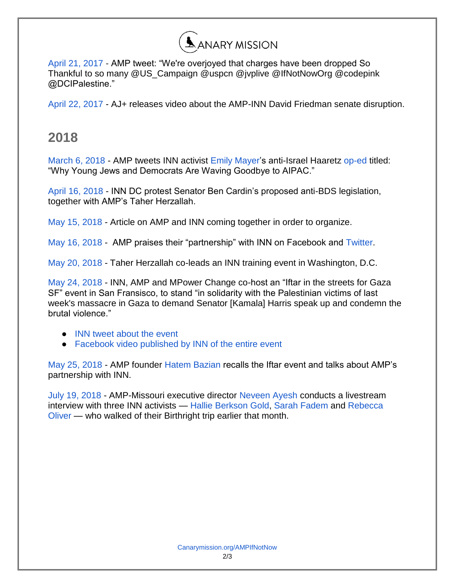

[April 21, 2017](https://twitter.com/AMPalestine/status/855628295265816580) - AMP tweet: "We're overjoyed that charges have been dropped So Thankful to so many @US\_Campaign @uspcn @jvplive @IfNotNowOrg @codepink @DCIPalestine."

[April 22, 2017 -](https://www.facebook.com/ajplusenglish/videos/946326435508864/) AJ+ releases video about the AMP-INN David Friedman senate disruption.

## **2018**

[March 6, 2018](https://twitter.com/AMPalestine/status/971075881929265152) - AMP tweets INN activist [Emily Mayer'](https://canarymission.org/individual/Emily_Mayer)s anti-Israel Haaretz [op-ed](https://www.haaretz.com/opinion/.premium-progressives-welcome-aipac-is-all-just-gaslighting-1.5871623) titled: "Why Young Jews and Democrats Are Waving Goodbye to AIPAC."

[April 16, 2018 -](https://www.facebook.com/IfNotNowOrg/videos/1709301999156761/?) INN DC protest Senator Ben Cardin's proposed anti-BDS legislation, together with AMP's Taher Herzallah.

[May 15, 2018](https://apnews.com/4b8fb48d34aa40bb8244426a6def62c5) - Article on AMP and INN coming together in order to organize.

[May 16, 2018 -](https://www.facebook.com/ampalestine/posts/10160411057915607) AMP praises their "partnership" with INN on Facebook and [Twitter.](https://twitter.com/AMPalestine/status/996832373319880706)

[May 20, 2018 -](https://www.facebook.com/ifnotnowdc/photos/a.329667113866064.1073741828.328631710636271/1011842265648542/?type=3&theater) Taher Herzallah co-leads an INN training event in Washington, D.C.

[May 24, 2018 -](https://www.facebook.com/events/1034976463323230/) INN, AMP and MPower Change co-host an "Iftar in the streets for Gaza SF" event in San Fransisco, to stand "in solidarity with the Palestinian victims of last week's massacre in Gaza to demand Senator [Kamala] Harris speak up and condemn the brutal violence."

- [INN tweet about the event](https://twitter.com/IfNotNowOrg/status/999836872619667456)
- Facebook video published by INN of the entire event

[May 25, 2018 -](https://www.youtube.com/watch?v=SzX60E2orBQ) AMP founder [Hatem Bazian](https://canarymission.org/professor/Hatem_Bazian) recalls the Iftar event and talks about AMP's partnership with INN.

[July 19, 2018 -](https://www.facebook.com/AMPofMO/videos/199695270695320/?hc_ref=ARSjvv1wvzuAv7B8hJX8gNOH8iEFbL-1g5eAIoMOkFx0e4_XQNGBA_7mZngGZfL3CtU) AMP-Missouri executive director [Neveen Ayesh](https://canarymission.org/individual/Neveen_Ayesh) conducts a livestream interview with three INN activists — [Hallie Berkson Gold,](http://www.canarymission.org/individual/hallie_berkson_gold/) [Sarah Fadem](http://www.canarymission.org/individual/sarah_fadem/) and [Rebecca](http://www.canarymission.org/individual/rebecca_oliver/)  [Oliver](http://www.canarymission.org/individual/rebecca_oliver/) — who walked of their Birthright trip earlier that month.